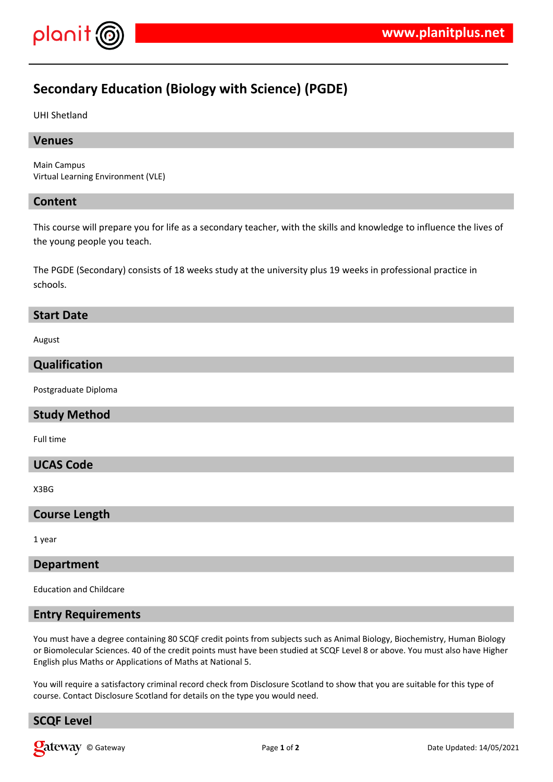

# **Secondary Education (Biology with Science) (PGDE)**

#### UHI Shetland

### **Venues**

Main Campus Virtual Learning Environment (VLE)

#### **Content**

This course will prepare you for life as a secondary teacher, with the skills and knowledge to influence the lives of the young people you teach.

The PGDE (Secondary) consists of 18 weeks study at the university plus 19 weeks in professional practice in schools.

#### **Start Date**

August

## **Qualification**

Postgraduate Diploma

## **Study Method**

Full time

### **UCAS Code**

X3BG

### **Course Length**

1 year

## **Department**

Education and Childcare

#### **Entry Requirements**

You must have a degree containing 80 SCQF credit points from subjects such as Animal Biology, Biochemistry, Human Biology or Biomolecular Sciences. 40 of the credit points must have been studied at SCQF Level 8 or above. You must also have Higher English plus Maths or Applications of Maths at National 5.

You will require a satisfactory criminal record check from Disclosure Scotland to show that you are suitable for this type of course. Contact Disclosure Scotland for details on the type you would need.

# **SCQF Level**